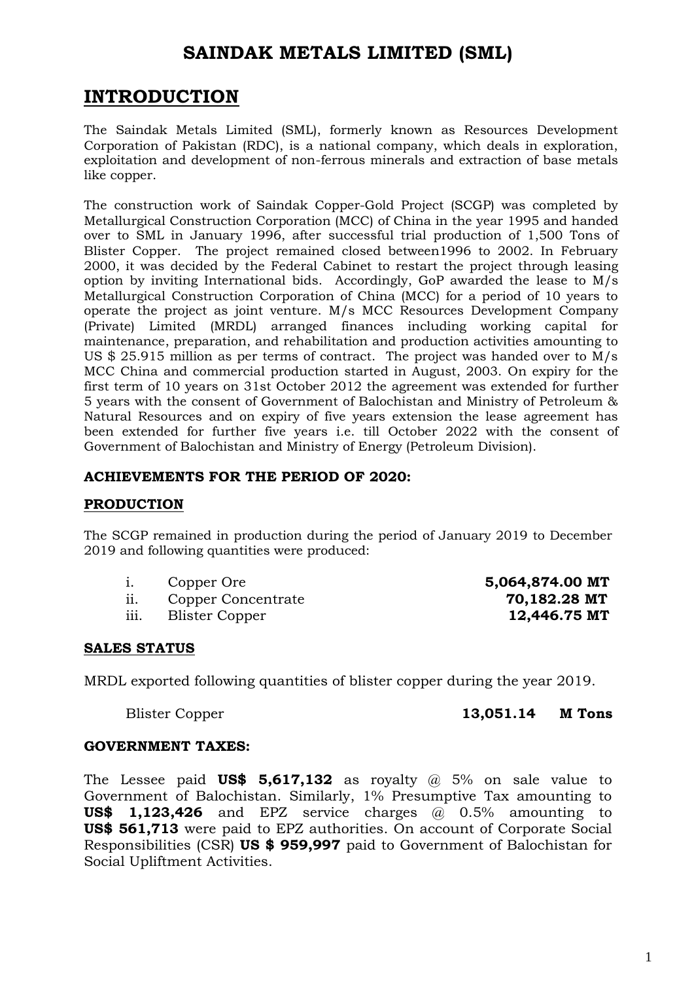# **SAINDAK METALS LIMITED (SML)**

# **INTRODUCTION**

The Saindak Metals Limited (SML), formerly known as Resources Development Corporation of Pakistan (RDC), is a national company, which deals in exploration, exploitation and development of non-ferrous minerals and extraction of base metals like copper.

The construction work of Saindak Copper-Gold Project (SCGP) was completed by Metallurgical Construction Corporation (MCC) of China in the year 1995 and handed over to SML in January 1996, after successful trial production of 1,500 Tons of Blister Copper. The project remained closed between1996 to 2002. In February 2000, it was decided by the Federal Cabinet to restart the project through leasing option by inviting International bids. Accordingly, GoP awarded the lease to M/s Metallurgical Construction Corporation of China (MCC) for a period of 10 years to operate the project as joint venture. M/s MCC Resources Development Company (Private) Limited (MRDL) arranged finances including working capital for maintenance, preparation, and rehabilitation and production activities amounting to US \$ 25.915 million as per terms of contract. The project was handed over to M/s MCC China and commercial production started in August, 2003. On expiry for the first term of 10 years on 31st October 2012 the agreement was extended for further 5 years with the consent of Government of Balochistan and Ministry of Petroleum & Natural Resources and on expiry of five years extension the lease agreement has been extended for further five years i.e. till October 2022 with the consent of Government of Balochistan and Ministry of Energy (Petroleum Division).

### **ACHIEVEMENTS FOR THE PERIOD OF 2020:**

### **PRODUCTION**

The SCGP remained in production during the period of January 2019 to December 2019 and following quantities were produced:

- 
- ii. Copper Concentrate **70,182.28 MT**
- iii. Blister Copper **12,446.75 MT**

i. Copper Ore **5,064,874.00 MT**

### **SALES STATUS**

MRDL exported following quantities of blister copper during the year 2019.

Blister Copper **13,051.14 M Tons**

### **GOVERNMENT TAXES:**

The Lessee paid **US\$ 5,617,132** as royalty @ 5% on sale value to Government of Balochistan. Similarly, 1% Presumptive Tax amounting to **US\$ 1,123,426** and EPZ service charges @ 0.5% amounting to **US\$ 561,713** were paid to EPZ authorities. On account of Corporate Social Responsibilities (CSR) **US \$ 959,997** paid to Government of Balochistan for Social Upliftment Activities.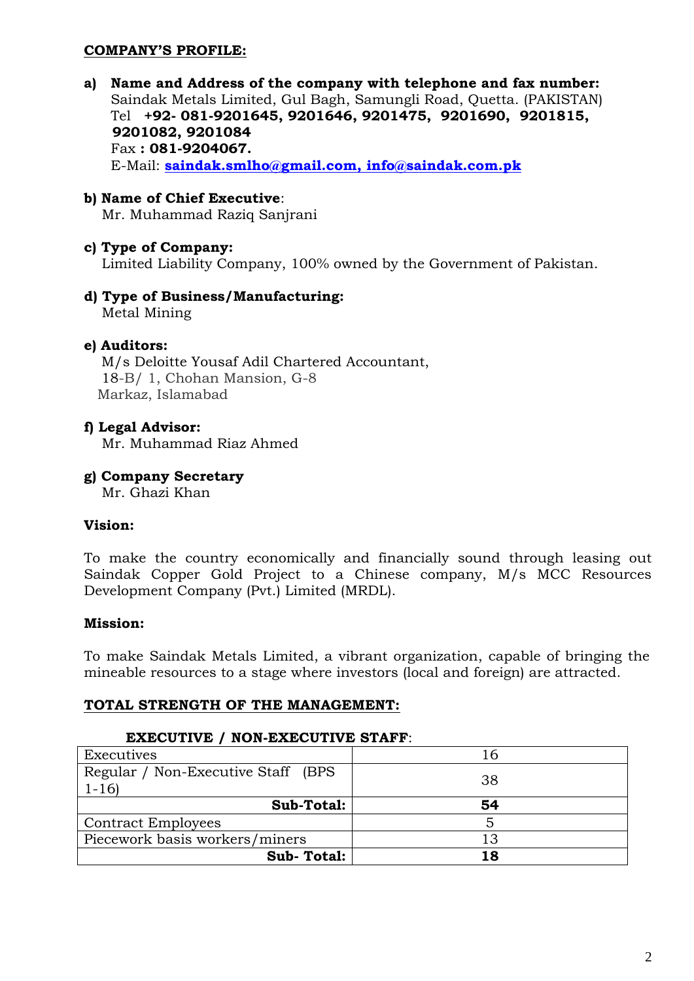# **COMPANY'S PROFILE:**

**a) Name and Address of the company with telephone and fax number:** Saindak Metals Limited, Gul Bagh, Samungli Road, Quetta. (PAKISTAN) Tel **+92- 081-9201645, 9201646, 9201475, 9201690, 9201815, 9201082, 9201084** Fax **: 081-9204067.** E-Mail: **[saindak.smlho@gmail.com,](mailto:saindak.smlho@gmail.com) info@saindak.com.pk**

# **b) Name of Chief Executive**:

Mr. Muhammad Raziq Sanjrani

### **c) Type of Company:**

Limited Liability Company, 100% owned by the Government of Pakistan.

**d) Type of Business/Manufacturing:** Metal Mining

### **e) Auditors:**

M/s Deloitte Yousaf Adil Chartered Accountant, 18-B/ 1, Chohan Mansion, G-8 Markaz, Islamabad

#### **f) Legal Advisor:**

Mr. Muhammad Riaz Ahmed

#### **g) Company Secretary**

Mr. Ghazi Khan

#### **Vision:**

To make the country economically and financially sound through leasing out Saindak Copper Gold Project to a Chinese company, M/s MCC Resources Development Company (Pvt.) Limited (MRDL).

### **Mission:**

To make Saindak Metals Limited, a vibrant organization, capable of bringing the mineable resources to a stage where investors (local and foreign) are attracted.

#### **TOTAL STRENGTH OF THE MANAGEMENT:**

#### **EXECUTIVE / NON-EXECUTIVE STAFF**:

| Executives                          | 16 |
|-------------------------------------|----|
| Regular / Non-Executive Staff (BPS) | 38 |
| $1 - 16$                            |    |
| Sub-Total:                          | 54 |
| <b>Contract Employees</b>           |    |
| Piecework basis workers/miners      | 13 |
| Sub-Total:                          | 18 |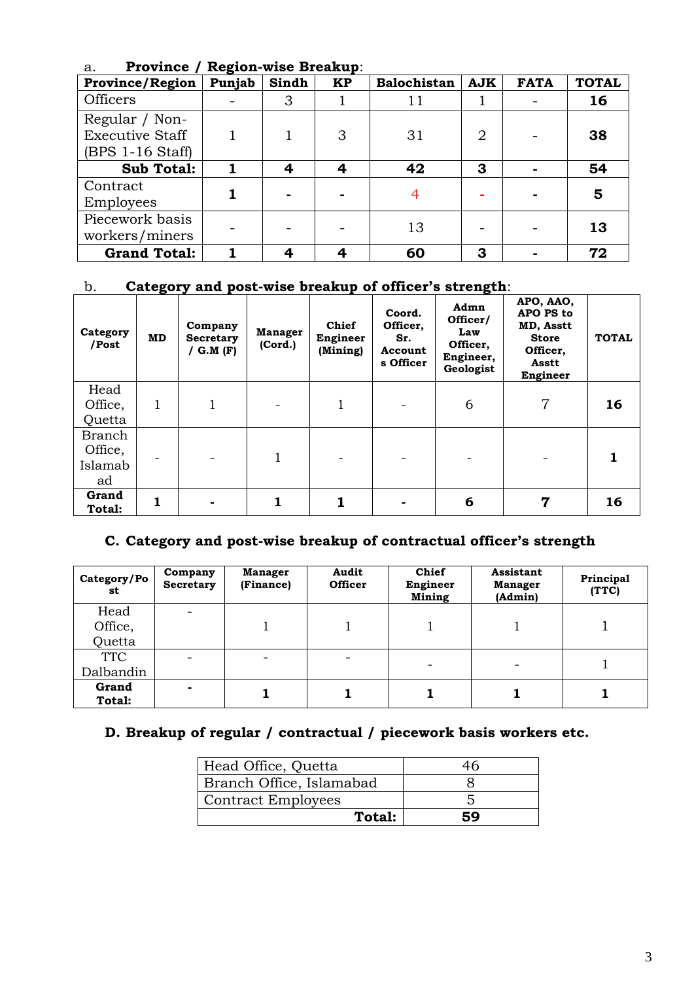| a.<br>$110$ villet $7$<br>wegini-wise Dicanup. |        |       |           |                    |                |             |              |
|------------------------------------------------|--------|-------|-----------|--------------------|----------------|-------------|--------------|
| <b>Province/Region</b>                         | Punjab | Sindh | <b>KP</b> | <b>Balochistan</b> | <b>AJK</b>     | <b>FATA</b> | <b>TOTAL</b> |
| Officers                                       |        | 3     |           | 11                 |                |             | 16           |
| Regular / Non-                                 |        |       |           |                    |                |             |              |
| Executive Staff                                |        |       | 3         | 31                 | $\overline{2}$ |             | 38           |
| $(BPS 1-16 Stat)$                              |        |       |           |                    |                |             |              |
| <b>Sub Total:</b>                              |        | 4     | 4         | 42                 | 3              |             | 54           |
| Contract                                       |        |       |           |                    |                |             | 5            |
| Employees                                      |        |       |           |                    |                |             |              |
| Piecework basis                                |        |       |           | 13                 |                |             | 13           |
| workers/miners                                 |        |       |           |                    |                |             |              |
| <b>Grand Total:</b>                            |        | 4     |           | 60                 | 3              |             | 72           |

# a. **Province / Region-wise Breakup**:

# b. **Category and post-wise breakup of officer's strength**:

| Category<br>/Post                  | <b>MD</b> | Company<br><b>Secretary</b><br>/ $G.M (F)$ | <b>Manager</b><br>(Cord.) | Chief<br>Engineer<br>(Mining) | Coord.<br>Officer,<br>Sr.<br>Account<br>s Officer | Admn<br>Officer/<br>Law<br>Officer,<br>Engineer,<br>Geologist | APO, AAO,<br>APO PS to<br>MD, Asstt<br><b>Store</b><br>Officer,<br>Asstt<br>Engineer | <b>TOTAL</b> |
|------------------------------------|-----------|--------------------------------------------|---------------------------|-------------------------------|---------------------------------------------------|---------------------------------------------------------------|--------------------------------------------------------------------------------------|--------------|
| Head<br>Office,<br>Quetta          |           |                                            |                           |                               |                                                   | 6                                                             | 7                                                                                    | 16           |
| Branch<br>Office,<br>Islamab<br>ad |           |                                            |                           |                               |                                                   |                                                               |                                                                                      |              |
| Grand<br>Total:                    | 1         |                                            |                           |                               |                                                   | 6                                                             | 7                                                                                    | 16           |

# **C. Category and post-wise breakup of contractual officer's strength**

| Category/Po<br>st | Company<br><b>Secretary</b> | <b>Manager</b><br>(Finance) | Audit<br><b>Officer</b> | Chief<br>Engineer<br>Mining | <b>Assistant</b><br><b>Manager</b><br>(Admin) | Principal<br>(TTC) |
|-------------------|-----------------------------|-----------------------------|-------------------------|-----------------------------|-----------------------------------------------|--------------------|
| Head              |                             |                             |                         |                             |                                               |                    |
| Office,           |                             |                             |                         |                             |                                               |                    |
| Quetta            |                             |                             |                         |                             |                                               |                    |
| <b>TTC</b>        |                             |                             |                         |                             |                                               |                    |
| Dalbandin         |                             |                             |                         | $\overline{\phantom{a}}$    |                                               |                    |
| Grand<br>Total:   | -                           |                             |                         |                             |                                               |                    |

# **D. Breakup of regular / contractual / piecework basis workers etc.**

| Total:                    | 59 |
|---------------------------|----|
| <b>Contract Employees</b> |    |
| Branch Office, Islamabad  |    |
| Head Office, Quetta       |    |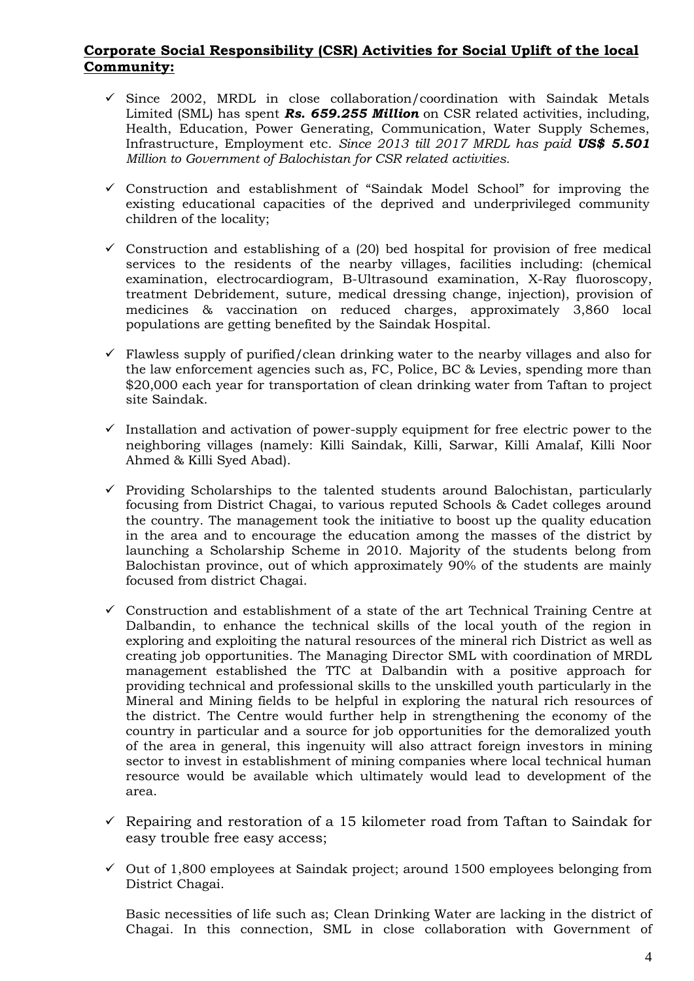### **Corporate Social Responsibility (CSR) Activities for Social Uplift of the local Community:**

- $\checkmark$  Since 2002, MRDL in close collaboration/coordination with Saindak Metals Limited (SML) has spent *Rs. 659.255 Million* on CSR related activities, including, Health, Education, Power Generating, Communication, Water Supply Schemes, Infrastructure, Employment etc. *Since 2013 till 2017 MRDL has paid US\$ 5.501 Million to Government of Balochistan for CSR related activities.*
- $\checkmark$  Construction and establishment of "Saindak Model School" for improving the existing educational capacities of the deprived and underprivileged community children of the locality;
- $\checkmark$  Construction and establishing of a (20) bed hospital for provision of free medical services to the residents of the nearby villages, facilities including: (chemical examination, electrocardiogram, B-Ultrasound examination, X-Ray fluoroscopy, treatment Debridement, suture, medical dressing change, injection), provision of medicines & vaccination on reduced charges, approximately 3,860 local populations are getting benefited by the Saindak Hospital.
- $\checkmark$  Flawless supply of purified/clean drinking water to the nearby villages and also for the law enforcement agencies such as, FC, Police, BC & Levies, spending more than \$20,000 each year for transportation of clean drinking water from Taftan to project site Saindak.
- $\checkmark$  Installation and activation of power-supply equipment for free electric power to the neighboring villages (namely: Killi Saindak, Killi, Sarwar, Killi Amalaf, Killi Noor Ahmed & Killi Syed Abad).
- $\checkmark$  Providing Scholarships to the talented students around Balochistan, particularly focusing from District Chagai, to various reputed Schools & Cadet colleges around the country. The management took the initiative to boost up the quality education in the area and to encourage the education among the masses of the district by launching a Scholarship Scheme in 2010. Majority of the students belong from Balochistan province, out of which approximately 90% of the students are mainly focused from district Chagai.
- $\checkmark$  Construction and establishment of a state of the art Technical Training Centre at Dalbandin, to enhance the technical skills of the local youth of the region in exploring and exploiting the natural resources of the mineral rich District as well as creating job opportunities. The Managing Director SML with coordination of MRDL management established the TTC at Dalbandin with a positive approach for providing technical and professional skills to the unskilled youth particularly in the Mineral and Mining fields to be helpful in exploring the natural rich resources of the district. The Centre would further help in strengthening the economy of the country in particular and a source for job opportunities for the demoralized youth of the area in general, this ingenuity will also attract foreign investors in mining sector to invest in establishment of mining companies where local technical human resource would be available which ultimately would lead to development of the area.
- $\checkmark$  Repairing and restoration of a 15 kilometer road from Taftan to Saindak for easy trouble free easy access;
- $\checkmark$  Out of 1,800 employees at Saindak project; around 1500 employees belonging from District Chagai.

Basic necessities of life such as; Clean Drinking Water are lacking in the district of Chagai. In this connection, SML in close collaboration with Government of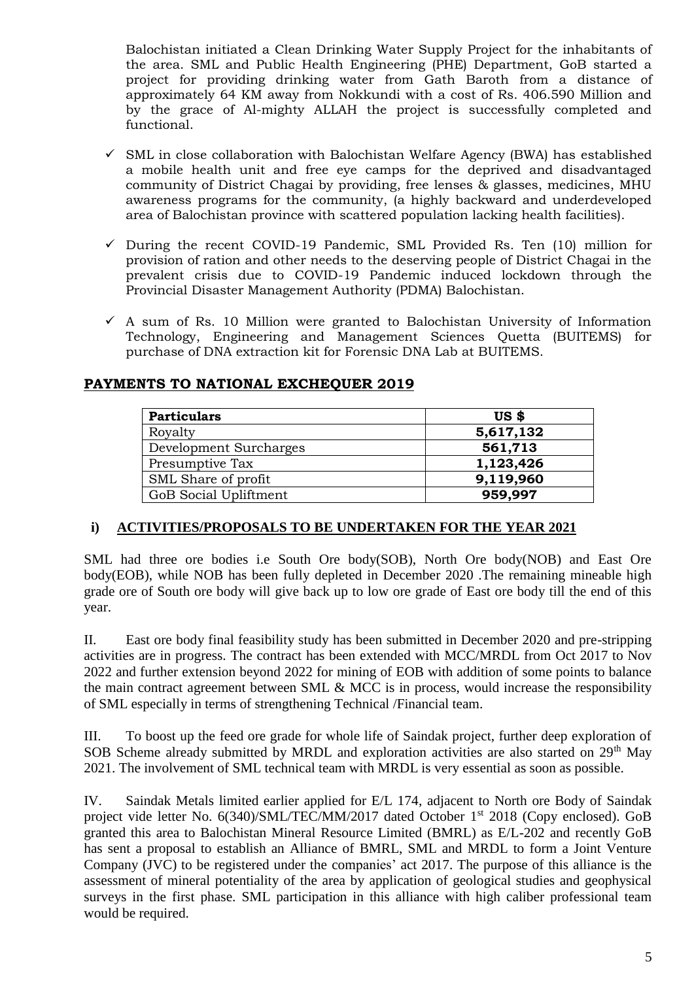Balochistan initiated a Clean Drinking Water Supply Project for the inhabitants of the area. SML and Public Health Engineering (PHE) Department, GoB started a project for providing drinking water from Gath Baroth from a distance of approximately 64 KM away from Nokkundi with a cost of Rs. 406.590 Million and by the grace of Al-mighty ALLAH the project is successfully completed and functional.

- $\checkmark$  SML in close collaboration with Balochistan Welfare Agency (BWA) has established a mobile health unit and free eye camps for the deprived and disadvantaged community of District Chagai by providing, free lenses & glasses, medicines, MHU awareness programs for the community, (a highly backward and underdeveloped area of Balochistan province with scattered population lacking health facilities).
- $\checkmark$  During the recent COVID-19 Pandemic, SML Provided Rs. Ten (10) million for provision of ration and other needs to the deserving people of District Chagai in the prevalent crisis due to COVID-19 Pandemic induced lockdown through the Provincial Disaster Management Authority (PDMA) Balochistan.
- $\checkmark$  A sum of Rs. 10 Million were granted to Balochistan University of Information Technology, Engineering and Management Sciences Quetta (BUITEMS) for purchase of DNA extraction kit for Forensic DNA Lab at BUITEMS.

# Particulars US \$ Royalty **5,617,132** Development Surcharges **561,713** Presumptive Tax **1,123,426** SML Share of profit **9,119,960** GoB Social Upliftment **959,997**

# **PAYMENTS TO NATIONAL EXCHEQUER 2019**

# **i) ACTIVITIES/PROPOSALS TO BE UNDERTAKEN FOR THE YEAR 2021**

SML had three ore bodies i.e South Ore body(SOB), North Ore body(NOB) and East Ore body(EOB), while NOB has been fully depleted in December 2020 .The remaining mineable high grade ore of South ore body will give back up to low ore grade of East ore body till the end of this year.

II. East ore body final feasibility study has been submitted in December 2020 and pre-stripping activities are in progress. The contract has been extended with MCC/MRDL from Oct 2017 to Nov 2022 and further extension beyond 2022 for mining of EOB with addition of some points to balance the main contract agreement between SML & MCC is in process, would increase the responsibility of SML especially in terms of strengthening Technical /Financial team.

III. To boost up the feed ore grade for whole life of Saindak project, further deep exploration of SOB Scheme already submitted by MRDL and exploration activities are also started on  $29<sup>th</sup>$  May 2021. The involvement of SML technical team with MRDL is very essential as soon as possible.

IV. Saindak Metals limited earlier applied for E/L 174, adjacent to North ore Body of Saindak project vide letter No. 6(340)/SML/TEC/MM/2017 dated October 1<sup>st</sup> 2018 (Copy enclosed). GoB granted this area to Balochistan Mineral Resource Limited (BMRL) as E/L-202 and recently GoB has sent a proposal to establish an Alliance of BMRL, SML and MRDL to form a Joint Venture Company (JVC) to be registered under the companies' act 2017. The purpose of this alliance is the assessment of mineral potentiality of the area by application of geological studies and geophysical surveys in the first phase. SML participation in this alliance with high caliber professional team would be required.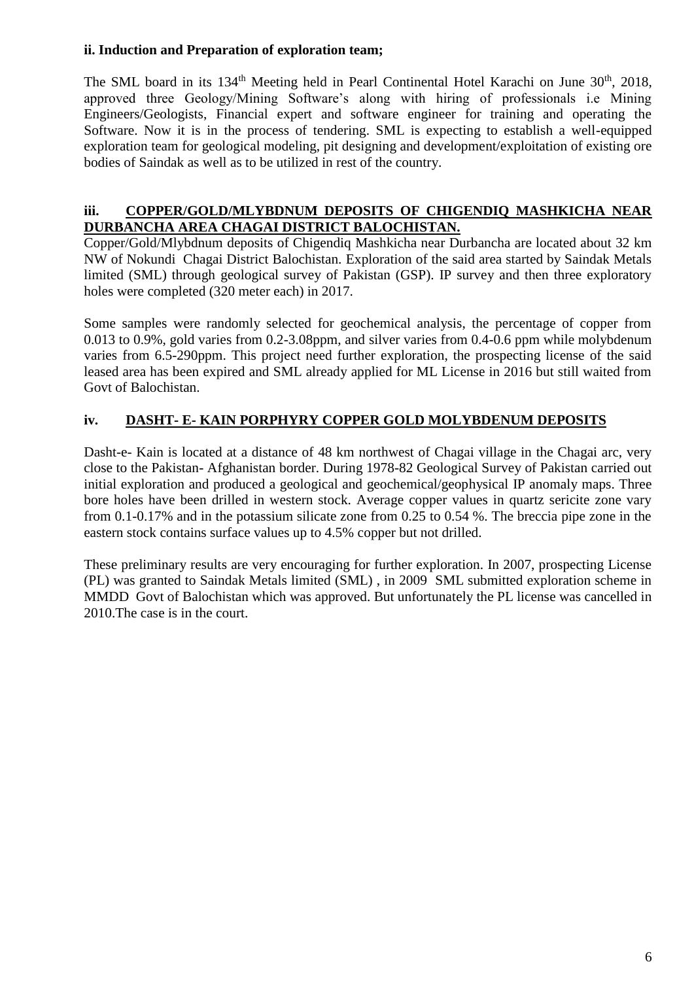## **ii. Induction and Preparation of exploration team;**

The SML board in its 134<sup>th</sup> Meeting held in Pearl Continental Hotel Karachi on June 30<sup>th</sup>, 2018, approved three Geology/Mining Software's along with hiring of professionals i.e Mining Engineers/Geologists, Financial expert and software engineer for training and operating the Software. Now it is in the process of tendering. SML is expecting to establish a well-equipped exploration team for geological modeling, pit designing and development/exploitation of existing ore bodies of Saindak as well as to be utilized in rest of the country.

### **iii. COPPER/GOLD/MLYBDNUM DEPOSITS OF CHIGENDIQ MASHKICHA NEAR DURBANCHA AREA CHAGAI DISTRICT BALOCHISTAN.**

Copper/Gold/Mlybdnum deposits of Chigendiq Mashkicha near Durbancha are located about 32 km NW of Nokundi Chagai District Balochistan. Exploration of the said area started by Saindak Metals limited (SML) through geological survey of Pakistan (GSP). IP survey and then three exploratory holes were completed (320 meter each) in 2017.

Some samples were randomly selected for geochemical analysis, the percentage of copper from  $0.013$  to  $0.9\%$ , gold varies from 0.2-3.08ppm, and silver varies from 0.4-0.6 ppm while molybdenum varies from 6.5-290ppm. This project need further exploration, the prospecting license of the said leased area has been expired and SML already applied for ML License in 2016 but still waited from Govt of Balochistan.

# **iv. DASHT- E- KAIN PORPHYRY COPPER GOLD MOLYBDENUM DEPOSITS**

Dasht-e- Kain is located at a distance of 48 km northwest of Chagai village in the Chagai arc, very close to the Pakistan- Afghanistan border. During 1978-82 Geological Survey of Pakistan carried out initial exploration and produced a geological and geochemical/geophysical IP anomaly maps. Three bore holes have been drilled in western stock. Average copper values in quartz sericite zone vary from 0.1-0.17% and in the potassium silicate zone from 0.25 to 0.54 %. The breccia pipe zone in the eastern stock contains surface values up to 4.5% copper but not drilled.

These preliminary results are very encouraging for further exploration. In 2007, prospecting License (PL) was granted to Saindak Metals limited (SML) , in 2009 SML submitted exploration scheme in MMDD Govt of Balochistan which was approved. But unfortunately the PL license was cancelled in 2010.The case is in the court.